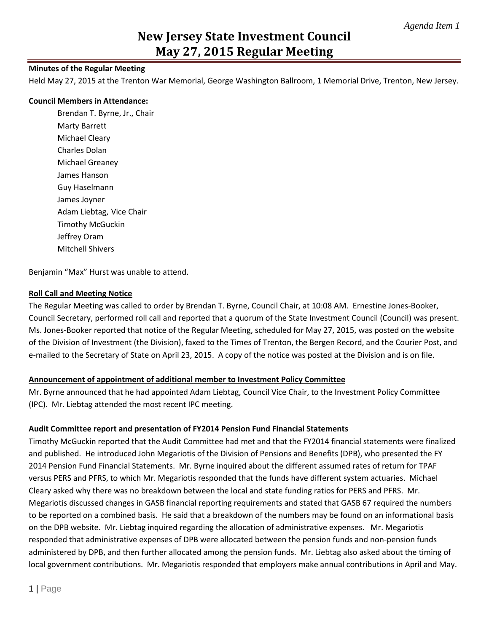### **Minutes of the Regular Meeting**

Held May 27, 2015 at the Trenton War Memorial, George Washington Ballroom, 1 Memorial Drive, Trenton, New Jersey.

#### **Council Members in Attendance:**

Brendan T. Byrne, Jr., Chair Marty Barrett Michael Cleary Charles Dolan Michael Greaney James Hanson Guy Haselmann James Joyner Adam Liebtag, Vice Chair Timothy McGuckin Jeffrey Oram Mitchell Shivers

Benjamin "Max" Hurst was unable to attend.

#### **Roll Call and Meeting Notice**

The Regular Meeting was called to order by Brendan T. Byrne, Council Chair, at 10:08 AM. Ernestine Jones-Booker, Council Secretary, performed roll call and reported that a quorum of the State Investment Council (Council) was present. Ms. Jones-Booker reported that notice of the Regular Meeting, scheduled for May 27, 2015, was posted on the website of the Division of Investment (the Division), faxed to the Times of Trenton, the Bergen Record, and the Courier Post, and e-mailed to the Secretary of State on April 23, 2015. A copy of the notice was posted at the Division and is on file.

#### **Announcement of appointment of additional member to Investment Policy Committee**

Mr. Byrne announced that he had appointed Adam Liebtag, Council Vice Chair, to the Investment Policy Committee (IPC). Mr. Liebtag attended the most recent IPC meeting.

#### **Audit Committee report and presentation of FY2014 Pension Fund Financial Statements**

Timothy McGuckin reported that the Audit Committee had met and that the FY2014 financial statements were finalized and published. He introduced John Megariotis of the Division of Pensions and Benefits (DPB), who presented the FY 2014 Pension Fund Financial Statements. Mr. Byrne inquired about the different assumed rates of return for TPAF versus PERS and PFRS, to which Mr. Megariotis responded that the funds have different system actuaries. Michael Cleary asked why there was no breakdown between the local and state funding ratios for PERS and PFRS. Mr. Megariotis discussed changes in GASB financial reporting requirements and stated that GASB 67 required the numbers to be reported on a combined basis. He said that a breakdown of the numbers may be found on an informational basis on the DPB website. Mr. Liebtag inquired regarding the allocation of administrative expenses. Mr. Megariotis responded that administrative expenses of DPB were allocated between the pension funds and non-pension funds administered by DPB, and then further allocated among the pension funds. Mr. Liebtag also asked about the timing of local government contributions. Mr. Megariotis responded that employers make annual contributions in April and May.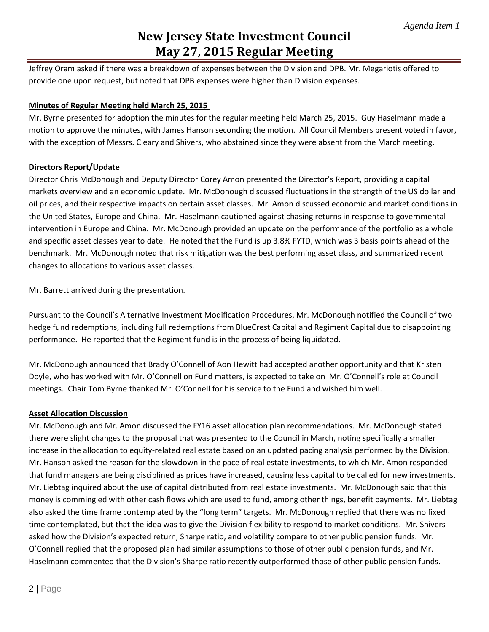Jeffrey Oram asked if there was a breakdown of expenses between the Division and DPB. Mr. Megariotis offered to provide one upon request, but noted that DPB expenses were higher than Division expenses.

### **Minutes of Regular Meeting held March 25, 2015**

Mr. Byrne presented for adoption the minutes for the regular meeting held March 25, 2015. Guy Haselmann made a motion to approve the minutes, with James Hanson seconding the motion. All Council Members present voted in favor, with the exception of Messrs. Cleary and Shivers, who abstained since they were absent from the March meeting.

### **Directors Report/Update**

Director Chris McDonough and Deputy Director Corey Amon presented the Director's Report, providing a capital markets overview and an economic update. Mr. McDonough discussed fluctuations in the strength of the US dollar and oil prices, and their respective impacts on certain asset classes. Mr. Amon discussed economic and market conditions in the United States, Europe and China. Mr. Haselmann cautioned against chasing returns in response to governmental intervention in Europe and China. Mr. McDonough provided an update on the performance of the portfolio as a whole and specific asset classes year to date. He noted that the Fund is up 3.8% FYTD, which was 3 basis points ahead of the benchmark. Mr. McDonough noted that risk mitigation was the best performing asset class, and summarized recent changes to allocations to various asset classes.

Mr. Barrett arrived during the presentation.

Pursuant to the Council's Alternative Investment Modification Procedures, Mr. McDonough notified the Council of two hedge fund redemptions, including full redemptions from BlueCrest Capital and Regiment Capital due to disappointing performance. He reported that the Regiment fund is in the process of being liquidated.

Mr. McDonough announced that Brady O'Connell of Aon Hewitt had accepted another opportunity and that Kristen Doyle, who has worked with Mr. O'Connell on Fund matters, is expected to take on Mr. O'Connell's role at Council meetings. Chair Tom Byrne thanked Mr. O'Connell for his service to the Fund and wished him well.

### **Asset Allocation Discussion**

Mr. McDonough and Mr. Amon discussed the FY16 asset allocation plan recommendations. Mr. McDonough stated there were slight changes to the proposal that was presented to the Council in March, noting specifically a smaller increase in the allocation to equity-related real estate based on an updated pacing analysis performed by the Division. Mr. Hanson asked the reason for the slowdown in the pace of real estate investments, to which Mr. Amon responded that fund managers are being disciplined as prices have increased, causing less capital to be called for new investments. Mr. Liebtag inquired about the use of capital distributed from real estate investments. Mr. McDonough said that this money is commingled with other cash flows which are used to fund, among other things, benefit payments. Mr. Liebtag also asked the time frame contemplated by the "long term" targets. Mr. McDonough replied that there was no fixed time contemplated, but that the idea was to give the Division flexibility to respond to market conditions. Mr. Shivers asked how the Division's expected return, Sharpe ratio, and volatility compare to other public pension funds. Mr. O'Connell replied that the proposed plan had similar assumptions to those of other public pension funds, and Mr. Haselmann commented that the Division's Sharpe ratio recently outperformed those of other public pension funds.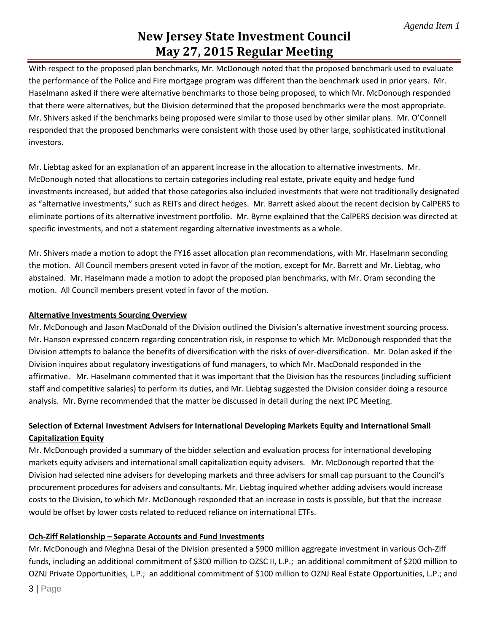With respect to the proposed plan benchmarks, Mr. McDonough noted that the proposed benchmark used to evaluate the performance of the Police and Fire mortgage program was different than the benchmark used in prior years. Mr. Haselmann asked if there were alternative benchmarks to those being proposed, to which Mr. McDonough responded that there were alternatives, but the Division determined that the proposed benchmarks were the most appropriate. Mr. Shivers asked if the benchmarks being proposed were similar to those used by other similar plans. Mr. O'Connell responded that the proposed benchmarks were consistent with those used by other large, sophisticated institutional investors.

Mr. Liebtag asked for an explanation of an apparent increase in the allocation to alternative investments. Mr. McDonough noted that allocations to certain categories including real estate, private equity and hedge fund investments increased, but added that those categories also included investments that were not traditionally designated as "alternative investments," such as REITs and direct hedges. Mr. Barrett asked about the recent decision by CalPERS to eliminate portions of its alternative investment portfolio. Mr. Byrne explained that the CalPERS decision was directed at specific investments, and not a statement regarding alternative investments as a whole.

Mr. Shivers made a motion to adopt the FY16 asset allocation plan recommendations, with Mr. Haselmann seconding the motion. All Council members present voted in favor of the motion, except for Mr. Barrett and Mr. Liebtag, who abstained. Mr. Haselmann made a motion to adopt the proposed plan benchmarks, with Mr. Oram seconding the motion. All Council members present voted in favor of the motion.

### **Alternative Investments Sourcing Overview**

Mr. McDonough and Jason MacDonald of the Division outlined the Division's alternative investment sourcing process. Mr. Hanson expressed concern regarding concentration risk, in response to which Mr. McDonough responded that the Division attempts to balance the benefits of diversification with the risks of over-diversification. Mr. Dolan asked if the Division inquires about regulatory investigations of fund managers, to which Mr. MacDonald responded in the affirmative. Mr. Haselmann commented that it was important that the Division has the resources (including sufficient staff and competitive salaries) to perform its duties, and Mr. Liebtag suggested the Division consider doing a resource analysis. Mr. Byrne recommended that the matter be discussed in detail during the next IPC Meeting.

## **Selection of External Investment Advisers for International Developing Markets Equity and International Small Capitalization Equity**

Mr. McDonough provided a summary of the bidder selection and evaluation process for international developing markets equity advisers and international small capitalization equity advisers. Mr. McDonough reported that the Division had selected nine advisers for developing markets and three advisers for small cap pursuant to the Council's procurement procedures for advisers and consultants. Mr. Liebtag inquired whether adding advisers would increase costs to the Division, to which Mr. McDonough responded that an increase in costs is possible, but that the increase would be offset by lower costs related to reduced reliance on international ETFs.

### **Och-Ziff Relationship – Separate Accounts and Fund Investments**

Mr. McDonough and Meghna Desai of the Division presented a \$900 million aggregate investment in various Och-Ziff funds, including an additional commitment of \$300 million to OZSC II, L.P.; an additional commitment of \$200 million to OZNJ Private Opportunities, L.P.; an additional commitment of \$100 million to OZNJ Real Estate Opportunities, L.P.; and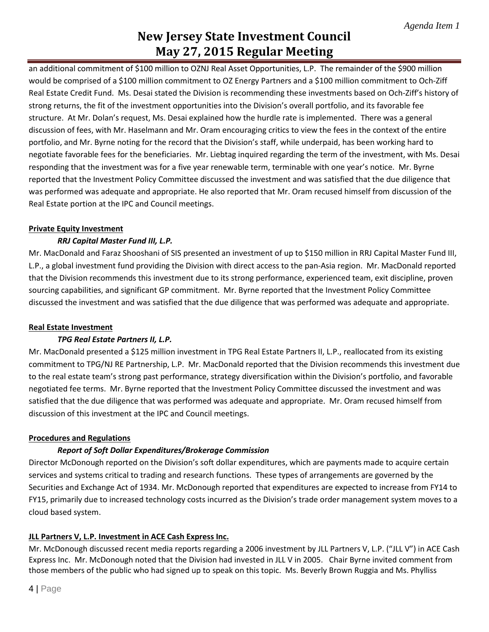an additional commitment of \$100 million to OZNJ Real Asset Opportunities, L.P. The remainder of the \$900 million would be comprised of a \$100 million commitment to OZ Energy Partners and a \$100 million commitment to Och-Ziff Real Estate Credit Fund. Ms. Desai stated the Division is recommending these investments based on Och-Ziff's history of strong returns, the fit of the investment opportunities into the Division's overall portfolio, and its favorable fee structure. At Mr. Dolan's request, Ms. Desai explained how the hurdle rate is implemented. There was a general discussion of fees, with Mr. Haselmann and Mr. Oram encouraging critics to view the fees in the context of the entire portfolio, and Mr. Byrne noting for the record that the Division's staff, while underpaid, has been working hard to negotiate favorable fees for the beneficiaries. Mr. Liebtag inquired regarding the term of the investment, with Ms. Desai responding that the investment was for a five year renewable term, terminable with one year's notice. Mr. Byrne reported that the Investment Policy Committee discussed the investment and was satisfied that the due diligence that was performed was adequate and appropriate. He also reported that Mr. Oram recused himself from discussion of the Real Estate portion at the IPC and Council meetings.

### **Private Equity Investment**

### *RRJ Capital Master Fund III, L.P.*

Mr. MacDonald and Faraz Shooshani of SIS presented an investment of up to \$150 million in RRJ Capital Master Fund III, L.P., a global investment fund providing the Division with direct access to the pan-Asia region. Mr. MacDonald reported that the Division recommends this investment due to its strong performance, experienced team, exit discipline, proven sourcing capabilities, and significant GP commitment. Mr. Byrne reported that the Investment Policy Committee discussed the investment and was satisfied that the due diligence that was performed was adequate and appropriate.

### **Real Estate Investment**

### *TPG Real Estate Partners II, L.P.*

Mr. MacDonald presented a \$125 million investment in TPG Real Estate Partners II, L.P., reallocated from its existing commitment to TPG/NJ RE Partnership, L.P. Mr. MacDonald reported that the Division recommends this investment due to the real estate team's strong past performance, strategy diversification within the Division's portfolio, and favorable negotiated fee terms. Mr. Byrne reported that the Investment Policy Committee discussed the investment and was satisfied that the due diligence that was performed was adequate and appropriate. Mr. Oram recused himself from discussion of this investment at the IPC and Council meetings.

#### **Procedures and Regulations**

### *Report of Soft Dollar Expenditures/Brokerage Commission*

Director McDonough reported on the Division's soft dollar expenditures, which are payments made to acquire certain services and systems critical to trading and research functions. These types of arrangements are governed by the Securities and Exchange Act of 1934. Mr. McDonough reported that expenditures are expected to increase from FY14 to FY15, primarily due to increased technology costs incurred as the Division's trade order management system moves to a cloud based system.

### **JLL Partners V, L.P. Investment in ACE Cash Express Inc.**

Mr. McDonough discussed recent media reports regarding a 2006 investment by JLL Partners V, L.P. ("JLL V") in ACE Cash Express Inc. Mr. McDonough noted that the Division had invested in JLL V in 2005. Chair Byrne invited comment from those members of the public who had signed up to speak on this topic. Ms. Beverly Brown Ruggia and Ms. Phylliss